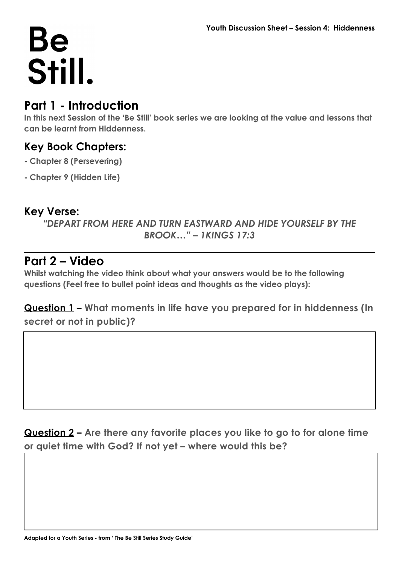### **Part 1 - Introduction**

**In this next Session of the 'Be Still' book series we are looking at the value and lessons that can be learnt from Hiddenness.** 

#### **Key Book Chapters:**

- **Chapter 8 (Persevering)**
- **Chapter 9 (Hidden Life)**

#### **Key Verse:**

*"DEPART FROM HERE AND TURN EASTWARD AND HIDE YOURSELF BY THE BROOK…" – 1KINGS 17:3*

#### **Part 2 – Video**

**Whilst watching the video think about what your answers would be to the following questions (Feel free to bullet point ideas and thoughts as the video plays):**

**Question 1 – What moments in life have you prepared for in hiddenness (In secret or not in public)?**

**Question 2 – Are there any favorite places you like to go to for alone time or quiet time with God? If not yet – where would this be?**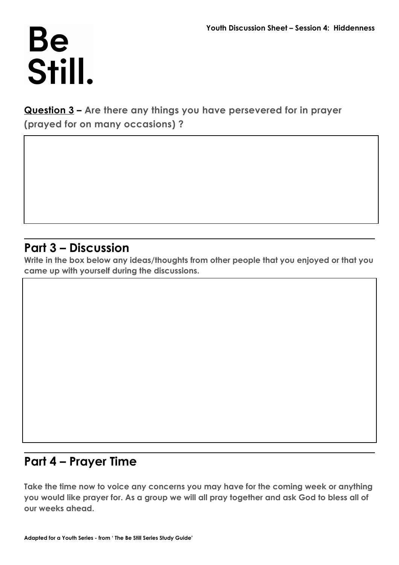**Question 3 – Are there any things you have persevered for in prayer (prayed for on many occasions) ?**

### **Part 3 – Discussion**

**Write in the box below any ideas/thoughts from other people that you enjoyed or that you came up with yourself during the discussions.**

## **Part 4 – Prayer Time**

**Take the time now to voice any concerns you may have for the coming week or anything you would like prayer for. As a group we will all pray together and ask God to bless all of our weeks ahead.**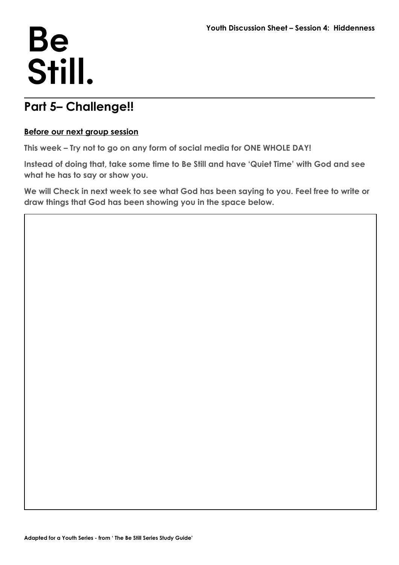### **Part 5– Challenge!!**

#### **Before our next group session**

**This week – Try not to go on any form of social media for ONE WHOLE DAY!** 

**Instead of doing that, take some time to Be Still and have 'Quiet Time' with God and see what he has to say or show you.** 

**We will Check in next week to see what God has been saying to you. Feel free to write or draw things that God has been showing you in the space below.**